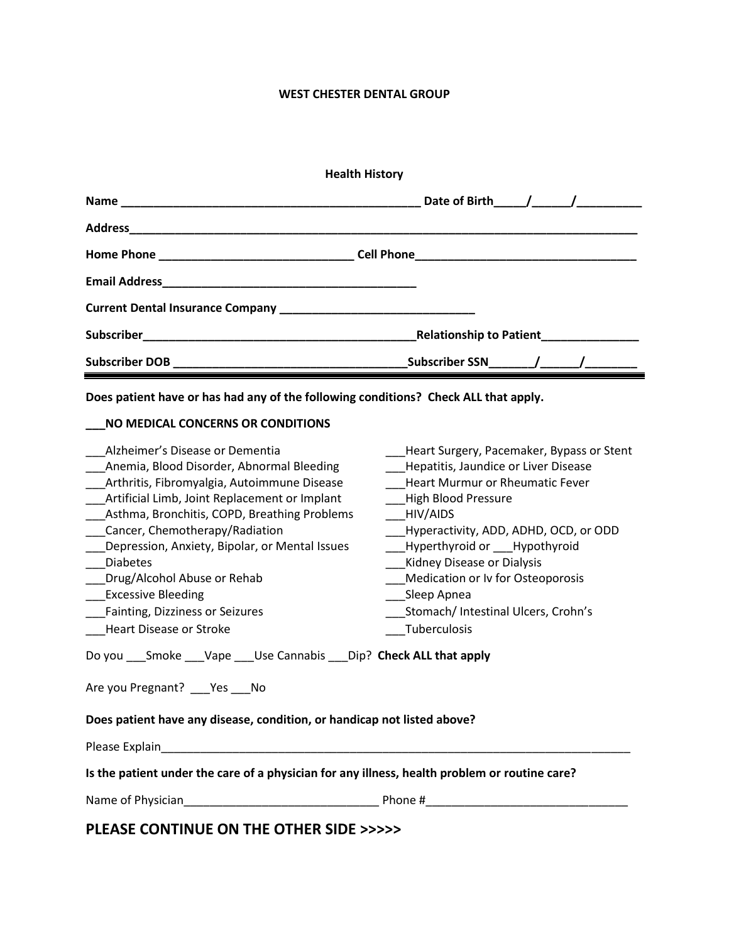## **WEST CHESTER DENTAL GROUP**

| <b>Health History</b>          |
|--------------------------------|
|                                |
|                                |
|                                |
|                                |
|                                |
| <b>Relationship to Patient</b> |
|                                |

**Does patient have or has had any of the following conditions? Check ALL that apply.**

# **\_\_\_NO MEDICAL CONCERNS OR CONDITIONS**

| Alzheimer's Disease or Dementia<br>Anemia, Blood Disorder, Abnormal Bleeding<br>Arthritis, Fibromyalgia, Autoimmune Disease<br>Artificial Limb, Joint Replacement or Implant<br>Asthma, Bronchitis, COPD, Breathing Problems<br>Cancer, Chemotherapy/Radiation<br>Depression, Anxiety, Bipolar, or Mental Issues<br><b>Diabetes</b><br>Drug/Alcohol Abuse or Rehab<br><b>Excessive Bleeding</b><br>Fainting, Dizziness or Seizures<br><b>Heart Disease or Stroke</b> | Heart Surgery, Pacemaker, Bypass or Stent<br>Hepatitis, Jaundice or Liver Disease<br>Heart Murmur or Rheumatic Fever<br>High Blood Pressure<br>HIV/AIDS<br>Hyperactivity, ADD, ADHD, OCD, or ODD<br>Hyperthyroid or Hypothyroid<br>Kidney Disease or Dialysis<br>Medication or Iv for Osteoporosis<br>Sleep Apnea<br>Stomach/ Intestinal Ulcers, Crohn's<br>Tuberculosis |  |
|----------------------------------------------------------------------------------------------------------------------------------------------------------------------------------------------------------------------------------------------------------------------------------------------------------------------------------------------------------------------------------------------------------------------------------------------------------------------|--------------------------------------------------------------------------------------------------------------------------------------------------------------------------------------------------------------------------------------------------------------------------------------------------------------------------------------------------------------------------|--|
| Do you ___ Smoke ___ Vape ___ Use Cannabis ___ Dip? Check ALL that apply                                                                                                                                                                                                                                                                                                                                                                                             |                                                                                                                                                                                                                                                                                                                                                                          |  |
| Are you Pregnant? Yes No                                                                                                                                                                                                                                                                                                                                                                                                                                             |                                                                                                                                                                                                                                                                                                                                                                          |  |
| Does patient have any disease, condition, or handicap not listed above?                                                                                                                                                                                                                                                                                                                                                                                              |                                                                                                                                                                                                                                                                                                                                                                          |  |
| Please Explain                                                                                                                                                                                                                                                                                                                                                                                                                                                       |                                                                                                                                                                                                                                                                                                                                                                          |  |
| Is the patient under the care of a physician for any illness, health problem or routine care?                                                                                                                                                                                                                                                                                                                                                                        |                                                                                                                                                                                                                                                                                                                                                                          |  |

Name of Physician\_\_\_\_\_\_\_\_\_\_\_\_\_\_\_\_\_\_\_\_\_\_\_\_\_\_\_\_\_\_ Phone #\_\_\_\_\_\_\_\_\_\_\_\_\_\_\_\_\_\_\_\_\_\_\_\_\_\_\_\_\_\_\_

**PLEASE CONTINUE ON THE OTHER SIDE >>>>>**